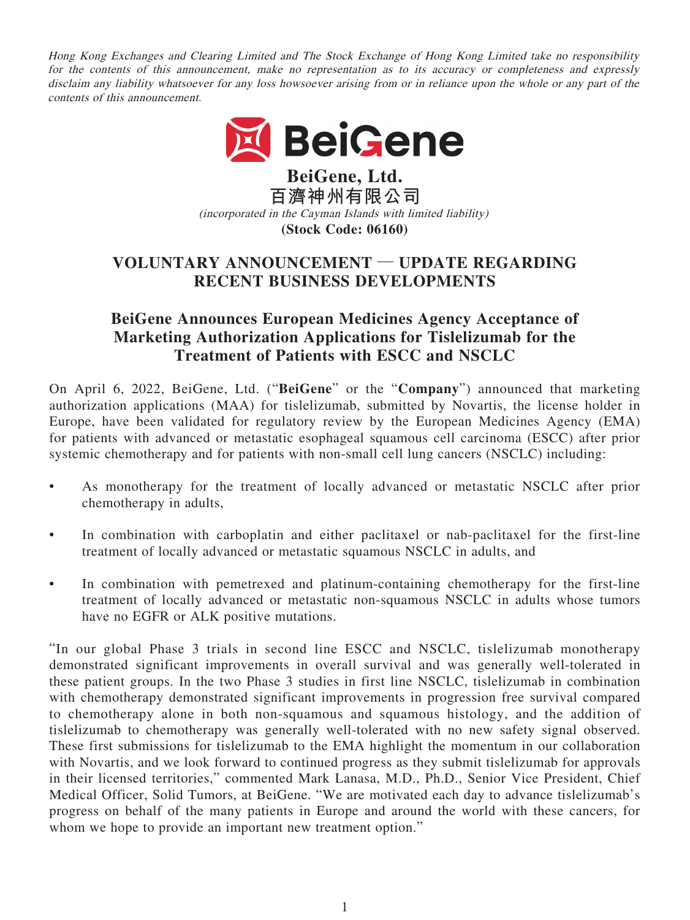Hong Kong Exchanges and Clearing Limited and The Stock Exchange of Hong Kong Limited take no responsibility for the contents of this announcement, make no representation as to its accuracy or completeness and expressly disclaim any liability whatsoever for any loss howsoever arising from or in reliance upon the whole or any part of the contents of this announcement.



**BeiGene, Ltd. 百濟神州有限公司** (incorporated in the Cayman Islands with limited liability) **(Stock Code: 06160)**

# **VOLUNTARY ANNOUNCEMENT — UPDATE REGARDING RECENT BUSINESS DEVELOPMENTS**

# **BeiGene Announces European Medicines Agency Acceptance of Marketing Authorization Applications for Tislelizumab for the Treatment of Patients with ESCC and NSCLC**

On April 6, 2022, BeiGene, Ltd. ("**BeiGene**" or the "**Company**") announced that marketing authorization applications (MAA) for tislelizumab, submitted by Novartis, the license holder in Europe, have been validated for regulatory review by the European Medicines Agency (EMA) for patients with advanced or metastatic esophageal squamous cell carcinoma (ESCC) after prior systemic chemotherapy and for patients with non-small cell lung cancers (NSCLC) including:

- As monotherapy for the treatment of locally advanced or metastatic NSCLC after prior chemotherapy in adults,
- In combination with carboplatin and either paclitaxel or nab-paclitaxel for the first-line treatment of locally advanced or metastatic squamous NSCLC in adults, and
- In combination with pemetrexed and platinum-containing chemotherapy for the first-line treatment of locally advanced or metastatic non-squamous NSCLC in adults whose tumors have no EGFR or ALK positive mutations.

"In our global Phase 3 trials in second line ESCC and NSCLC, tislelizumab monotherapy demonstrated significant improvements in overall survival and was generally well-tolerated in these patient groups. In the two Phase 3 studies in first line NSCLC, tislelizumab in combination with chemotherapy demonstrated significant improvements in progression free survival compared to chemotherapy alone in both non-squamous and squamous histology, and the addition of tislelizumab to chemotherapy was generally well-tolerated with no new safety signal observed. These first submissions for tislelizumab to the EMA highlight the momentum in our collaboration with Novartis, and we look forward to continued progress as they submit tislelizumab for approvals in their licensed territories," commented Mark Lanasa, M.D., Ph.D., Senior Vice President, Chief Medical Officer, Solid Tumors, at BeiGene. "We are motivated each day to advance tislelizumab's progress on behalf of the many patients in Europe and around the world with these cancers, for whom we hope to provide an important new treatment option."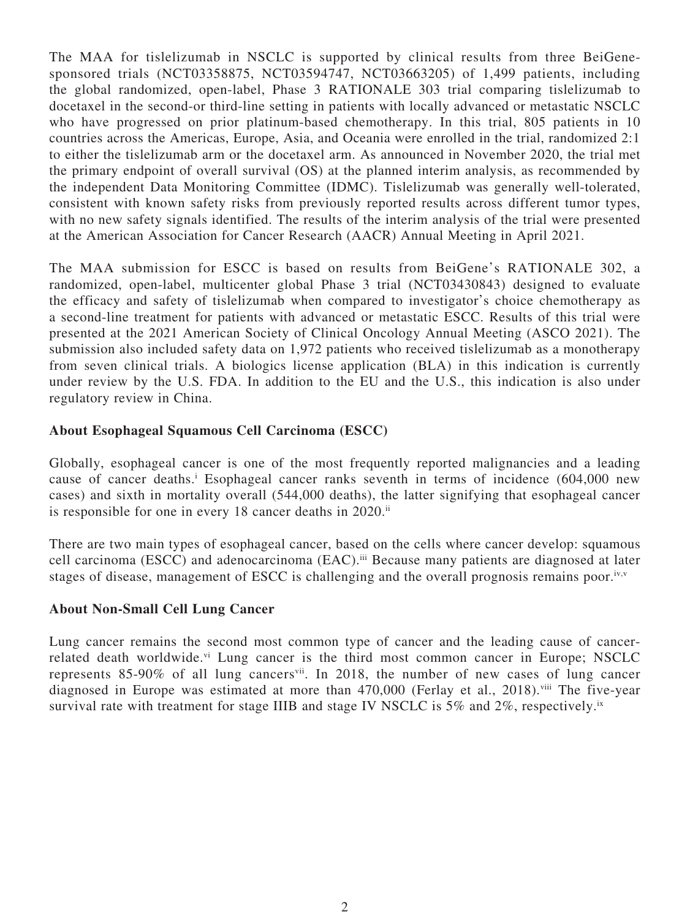The MAA for tislelizumab in NSCLC is supported by clinical results from three BeiGenesponsored trials (NCT03358875, NCT03594747, NCT03663205) of 1,499 patients, including the global randomized, open-label, Phase 3 RATIONALE 303 trial comparing tislelizumab to docetaxel in the second-or third-line setting in patients with locally advanced or metastatic NSCLC who have progressed on prior platinum-based chemotherapy. In this trial, 805 patients in 10 countries across the Americas, Europe, Asia, and Oceania were enrolled in the trial, randomized 2:1 to either the tislelizumab arm or the docetaxel arm. As announced in November 2020, the trial met the primary endpoint of overall survival (OS) at the planned interim analysis, as recommended by the independent Data Monitoring Committee (IDMC). Tislelizumab was generally well-tolerated, consistent with known safety risks from previously reported results across different tumor types, with no new safety signals identified. The results of the interim analysis of the trial were presented at the American Association for Cancer Research (AACR) Annual Meeting in April 2021.

The MAA submission for ESCC is based on results from BeiGene's RATIONALE 302, a randomized, open-label, multicenter global Phase 3 trial (NCT03430843) designed to evaluate the efficacy and safety of tislelizumab when compared to investigator's choice chemotherapy as a second-line treatment for patients with advanced or metastatic ESCC. Results of this trial were presented at the 2021 American Society of Clinical Oncology Annual Meeting (ASCO 2021). The submission also included safety data on 1,972 patients who received tislelizumab as a monotherapy from seven clinical trials. A biologics license application (BLA) in this indication is currently under review by the U.S. FDA. In addition to the EU and the U.S., this indication is also under regulatory review in China.

## **About Esophageal Squamous Cell Carcinoma (ESCC)**

Globally, esophageal cancer is one of the most frequently reported malignancies and a leading cause of cancer deaths.<sup>i</sup> Esophageal cancer ranks seventh in terms of incidence (604,000 new cases) and sixth in mortality overall (544,000 deaths), the latter signifying that esophageal cancer is responsible for one in every 18 cancer deaths in 2020.<sup>ii</sup>

There are two main types of esophageal cancer, based on the cells where cancer develop: squamous cell carcinoma (ESCC) and adenocarcinoma (EAC).<sup>iii</sup> Because many patients are diagnosed at later stages of disease, management of ESCC is challenging and the overall prognosis remains poor.<sup>iv,v</sup>

## **About Non-Small Cell Lung Cancer**

Lung cancer remains the second most common type of cancer and the leading cause of cancerrelated death worldwide.<sup>vi</sup> Lung cancer is the third most common cancer in Europe; NSCLC represents 85-90% of all lung cancers<sup>vii</sup>. In 2018, the number of new cases of lung cancer diagnosed in Europe was estimated at more than 470,000 (Ferlay et al., 2018).<sup>viii</sup> The five-year survival rate with treatment for stage IIIB and stage IV NSCLC is 5% and 2%, respectively.<sup>ix</sup>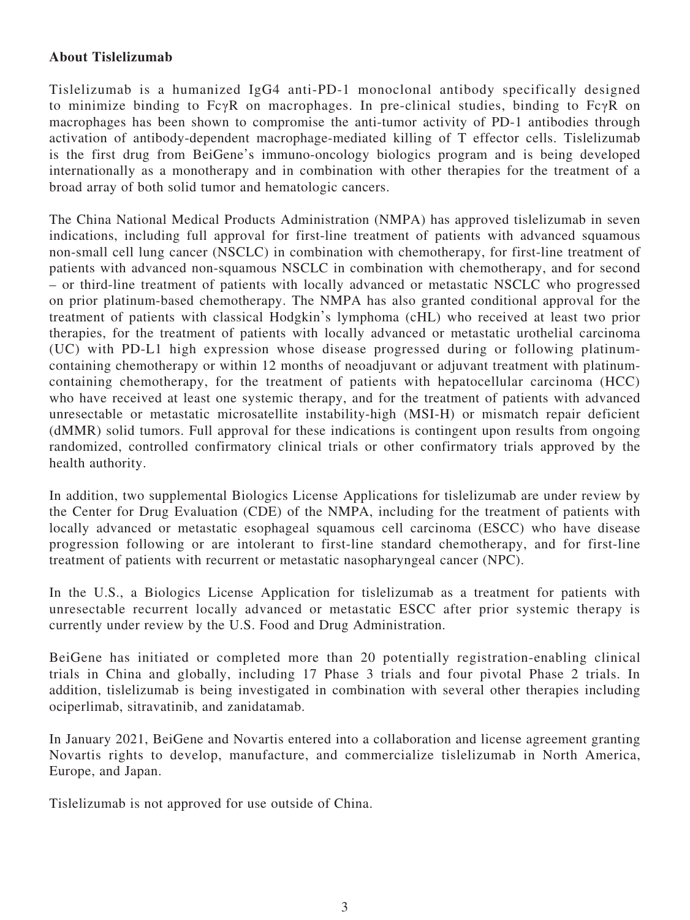# **About Tislelizumab**

Tislelizumab is a humanized IgG4 anti-PD-1 monoclonal antibody specifically designed to minimize binding to FcγR on macrophages. In pre-clinical studies, binding to FcγR on macrophages has been shown to compromise the anti-tumor activity of PD-1 antibodies through activation of antibody-dependent macrophage-mediated killing of T effector cells. Tislelizumab is the first drug from BeiGene's immuno-oncology biologics program and is being developed internationally as a monotherapy and in combination with other therapies for the treatment of a broad array of both solid tumor and hematologic cancers.

The China National Medical Products Administration (NMPA) has approved tislelizumab in seven indications, including full approval for first-line treatment of patients with advanced squamous non-small cell lung cancer (NSCLC) in combination with chemotherapy, for first-line treatment of patients with advanced non-squamous NSCLC in combination with chemotherapy, and for second – or third-line treatment of patients with locally advanced or metastatic NSCLC who progressed on prior platinum-based chemotherapy. The NMPA has also granted conditional approval for the treatment of patients with classical Hodgkin's lymphoma (cHL) who received at least two prior therapies, for the treatment of patients with locally advanced or metastatic urothelial carcinoma (UC) with PD-L1 high expression whose disease progressed during or following platinumcontaining chemotherapy or within 12 months of neoadjuvant or adjuvant treatment with platinumcontaining chemotherapy, for the treatment of patients with hepatocellular carcinoma (HCC) who have received at least one systemic therapy, and for the treatment of patients with advanced unresectable or metastatic microsatellite instability-high (MSI-H) or mismatch repair deficient (dMMR) solid tumors. Full approval for these indications is contingent upon results from ongoing randomized, controlled confirmatory clinical trials or other confirmatory trials approved by the health authority.

In addition, two supplemental Biologics License Applications for tislelizumab are under review by the Center for Drug Evaluation (CDE) of the NMPA, including for the treatment of patients with locally advanced or metastatic esophageal squamous cell carcinoma (ESCC) who have disease progression following or are intolerant to first-line standard chemotherapy, and for first-line treatment of patients with recurrent or metastatic nasopharyngeal cancer (NPC).

In the U.S., a Biologics License Application for tislelizumab as a treatment for patients with unresectable recurrent locally advanced or metastatic ESCC after prior systemic therapy is currently under review by the U.S. Food and Drug Administration.

BeiGene has initiated or completed more than 20 potentially registration-enabling clinical trials in China and globally, including 17 Phase 3 trials and four pivotal Phase 2 trials. In addition, tislelizumab is being investigated in combination with several other therapies including ociperlimab, sitravatinib, and zanidatamab.

In January 2021, BeiGene and Novartis entered into a collaboration and license agreement granting Novartis rights to develop, manufacture, and commercialize tislelizumab in North America, Europe, and Japan.

Tislelizumab is not approved for use outside of China.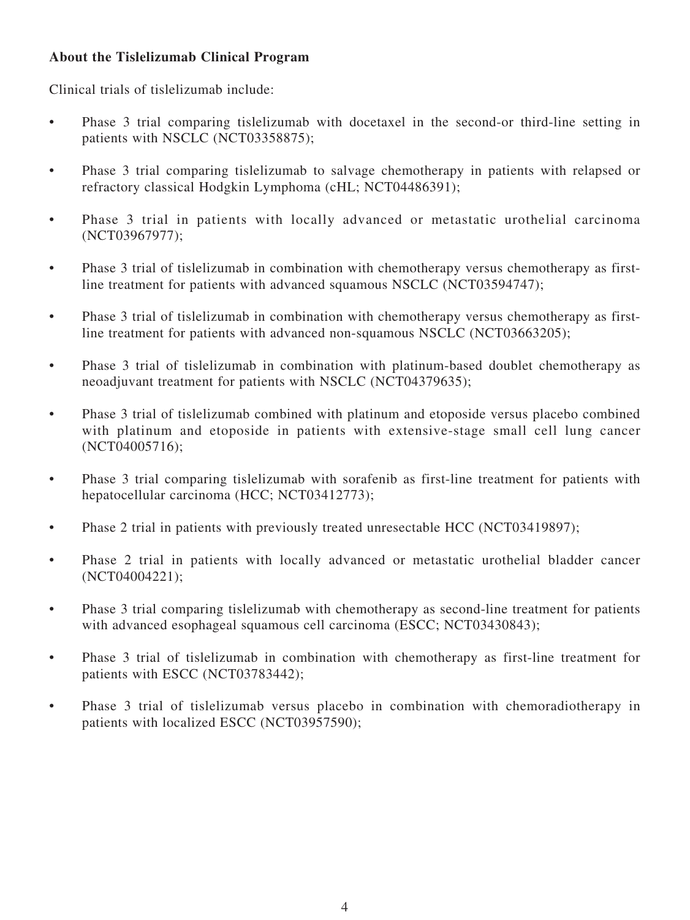# **About the Tislelizumab Clinical Program**

Clinical trials of tislelizumab include:

- Phase 3 trial comparing tislelizumab with docetaxel in the second-or third-line setting in patients with NSCLC (NCT03358875);
- Phase 3 trial comparing tislelizumab to salvage chemotherapy in patients with relapsed or refractory classical Hodgkin Lymphoma (cHL; NCT04486391);
- Phase 3 trial in patients with locally advanced or metastatic urothelial carcinoma (NCT03967977);
- Phase 3 trial of tislelizumab in combination with chemotherapy versus chemotherapy as firstline treatment for patients with advanced squamous NSCLC (NCT03594747);
- Phase 3 trial of tislelizumab in combination with chemotherapy versus chemotherapy as firstline treatment for patients with advanced non-squamous NSCLC (NCT03663205);
- Phase 3 trial of tislelizumab in combination with platinum-based doublet chemotherapy as neoadjuvant treatment for patients with NSCLC (NCT04379635);
- Phase 3 trial of tislelizumab combined with platinum and etoposide versus placebo combined with platinum and etoposide in patients with extensive-stage small cell lung cancer (NCT04005716);
- Phase 3 trial comparing tislelizumab with sorafenib as first-line treatment for patients with hepatocellular carcinoma (HCC; NCT03412773);
- Phase 2 trial in patients with previously treated unresectable HCC (NCT03419897);
- Phase 2 trial in patients with locally advanced or metastatic urothelial bladder cancer (NCT04004221);
- Phase 3 trial comparing tislelizumab with chemotherapy as second-line treatment for patients with advanced esophageal squamous cell carcinoma (ESCC; NCT03430843);
- Phase 3 trial of tislelizumab in combination with chemotherapy as first-line treatment for patients with ESCC (NCT03783442);
- Phase 3 trial of tislelizumab versus placebo in combination with chemoradiotherapy in patients with localized ESCC (NCT03957590);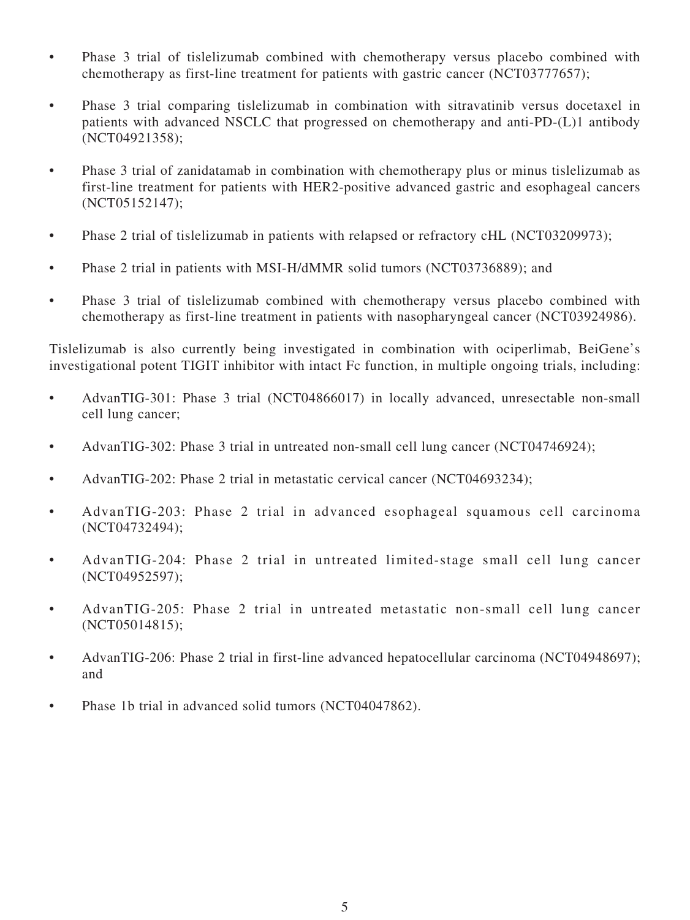- Phase 3 trial of tislelizumab combined with chemotherapy versus placebo combined with chemotherapy as first-line treatment for patients with gastric cancer (NCT03777657);
- Phase 3 trial comparing tislelizumab in combination with sitravatinib versus docetaxel in patients with advanced NSCLC that progressed on chemotherapy and anti-PD-(L)1 antibody (NCT04921358);
- Phase 3 trial of zanidatamab in combination with chemotherapy plus or minus tislelizumab as first-line treatment for patients with HER2-positive advanced gastric and esophageal cancers (NCT05152147);
- Phase 2 trial of tislelizumab in patients with relapsed or refractory cHL (NCT03209973);
- Phase 2 trial in patients with MSI-H/dMMR solid tumors (NCT03736889); and
- Phase 3 trial of tislelizumab combined with chemotherapy versus placebo combined with chemotherapy as first-line treatment in patients with nasopharyngeal cancer (NCT03924986).

Tislelizumab is also currently being investigated in combination with ociperlimab, BeiGene's investigational potent TIGIT inhibitor with intact Fc function, in multiple ongoing trials, including:

- AdvanTIG-301: Phase 3 trial (NCT04866017) in locally advanced, unresectable non-small cell lung cancer;
- AdvanTIG-302: Phase 3 trial in untreated non-small cell lung cancer (NCT04746924);
- AdvanTIG-202: Phase 2 trial in metastatic cervical cancer (NCT04693234);
- AdvanTIG-203: Phase 2 trial in advanced esophageal squamous cell carcinoma (NCT04732494);
- AdvanTIG-204: Phase 2 trial in untreated limited-stage small cell lung cancer (NCT04952597);
- AdvanTIG-205: Phase 2 trial in untreated metastatic non-small cell lung cancer (NCT05014815);
- AdvanTIG-206: Phase 2 trial in first-line advanced hepatocellular carcinoma (NCT04948697); and
- Phase 1b trial in advanced solid tumors (NCT04047862).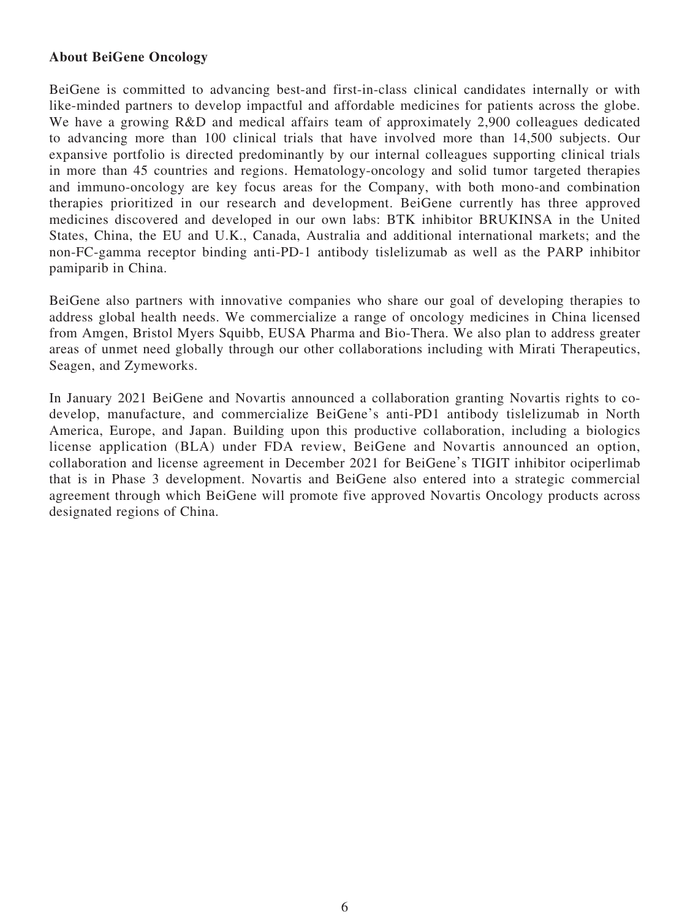## **About BeiGene Oncology**

BeiGene is committed to advancing best-and first-in-class clinical candidates internally or with like-minded partners to develop impactful and affordable medicines for patients across the globe. We have a growing R&D and medical affairs team of approximately 2,900 colleagues dedicated to advancing more than 100 clinical trials that have involved more than 14,500 subjects. Our expansive portfolio is directed predominantly by our internal colleagues supporting clinical trials in more than 45 countries and regions. Hematology-oncology and solid tumor targeted therapies and immuno-oncology are key focus areas for the Company, with both mono-and combination therapies prioritized in our research and development. BeiGene currently has three approved medicines discovered and developed in our own labs: BTK inhibitor BRUKINSA in the United States, China, the EU and U.K., Canada, Australia and additional international markets; and the non-FC-gamma receptor binding anti-PD-1 antibody tislelizumab as well as the PARP inhibitor pamiparib in China.

BeiGene also partners with innovative companies who share our goal of developing therapies to address global health needs. We commercialize a range of oncology medicines in China licensed from Amgen, Bristol Myers Squibb, EUSA Pharma and Bio-Thera. We also plan to address greater areas of unmet need globally through our other collaborations including with Mirati Therapeutics, Seagen, and Zymeworks.

In January 2021 BeiGene and Novartis announced a collaboration granting Novartis rights to codevelop, manufacture, and commercialize BeiGene's anti-PD1 antibody tislelizumab in North America, Europe, and Japan. Building upon this productive collaboration, including a biologics license application (BLA) under FDA review, BeiGene and Novartis announced an option, collaboration and license agreement in December 2021 for BeiGene's TIGIT inhibitor ociperlimab that is in Phase 3 development. Novartis and BeiGene also entered into a strategic commercial agreement through which BeiGene will promote five approved Novartis Oncology products across designated regions of China.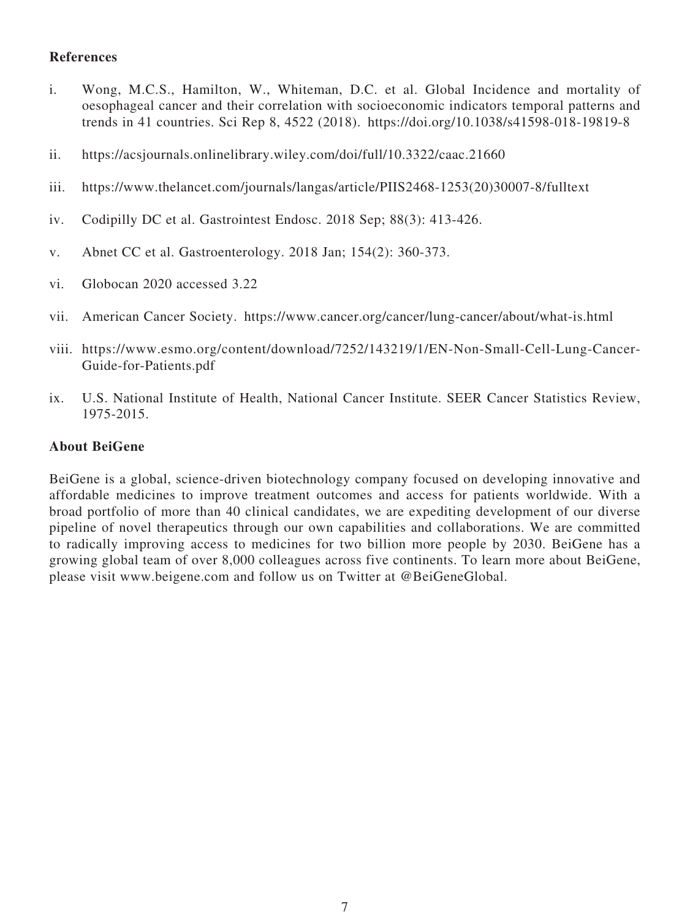## **References**

- i. Wong, M.C.S., Hamilton, W., Whiteman, D.C. et al. Global Incidence and mortality of oesophageal cancer and their correlation with socioeconomic indicators temporal patterns and trends in 41 countries. Sci Rep 8, 4522 (2018). https://doi.org/10.1038/s41598-018-19819-8
- ii. https://acsjournals.onlinelibrary.wiley.com/doi/full/10.3322/caac.21660
- iii. https://www.thelancet.com/journals/langas/article/PIIS2468-1253(20)30007-8/fulltext
- iv. Codipilly DC et al. Gastrointest Endosc. 2018 Sep; 88(3): 413-426.
- v. Abnet CC et al. Gastroenterology. 2018 Jan; 154(2): 360-373.
- vi. Globocan 2020 accessed 3.22
- vii. American Cancer Society. https://www.cancer.org/cancer/lung-cancer/about/what-is.html
- viii. https://www.esmo.org/content/download/7252/143219/1/EN-Non-Small-Cell-Lung-Cancer-Guide-for-Patients.pdf
- ix. U.S. National Institute of Health, National Cancer Institute. SEER Cancer Statistics Review, 1975-2015.

#### **About BeiGene**

BeiGene is a global, science-driven biotechnology company focused on developing innovative and affordable medicines to improve treatment outcomes and access for patients worldwide. With a broad portfolio of more than 40 clinical candidates, we are expediting development of our diverse pipeline of novel therapeutics through our own capabilities and collaborations. We are committed to radically improving access to medicines for two billion more people by 2030. BeiGene has a growing global team of over 8,000 colleagues across five continents. To learn more about BeiGene, please visit www.beigene.com and follow us on Twitter at @BeiGeneGlobal.